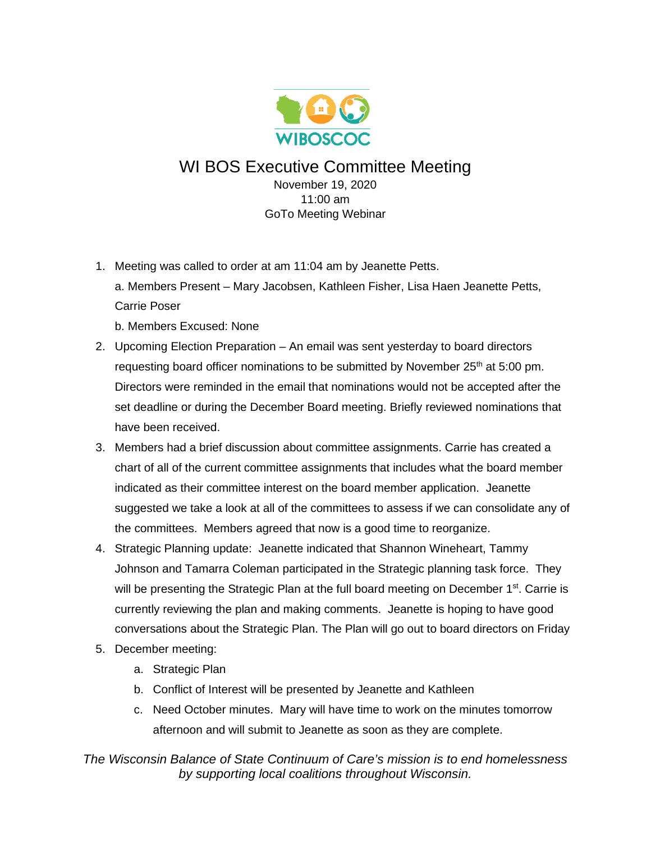

WI BOS Executive Committee Meeting November 19, 2020

> 11:00 am GoTo Meeting Webinar

1. Meeting was called to order at am 11:04 am by Jeanette Petts.

a. Members Present – Mary Jacobsen, Kathleen Fisher, Lisa Haen Jeanette Petts, Carrie Poser

b. Members Excused: None

- 2. Upcoming Election Preparation An email was sent yesterday to board directors requesting board officer nominations to be submitted by November  $25<sup>th</sup>$  at 5:00 pm. Directors were reminded in the email that nominations would not be accepted after the set deadline or during the December Board meeting. Briefly reviewed nominations that have been received.
- 3. Members had a brief discussion about committee assignments. Carrie has created a chart of all of the current committee assignments that includes what the board member indicated as their committee interest on the board member application. Jeanette suggested we take a look at all of the committees to assess if we can consolidate any of the committees. Members agreed that now is a good time to reorganize.
- 4. Strategic Planning update: Jeanette indicated that Shannon Wineheart, Tammy Johnson and Tamarra Coleman participated in the Strategic planning task force. They will be presenting the Strategic Plan at the full board meeting on December  $1<sup>st</sup>$ . Carrie is currently reviewing the plan and making comments. Jeanette is hoping to have good conversations about the Strategic Plan. The Plan will go out to board directors on Friday
- 5. December meeting:
	- a. Strategic Plan
	- b. Conflict of Interest will be presented by Jeanette and Kathleen
	- c. Need October minutes. Mary will have time to work on the minutes tomorrow afternoon and will submit to Jeanette as soon as they are complete.

*The Wisconsin Balance of State Continuum of Care's mission is to end homelessness by supporting local coalitions throughout Wisconsin.*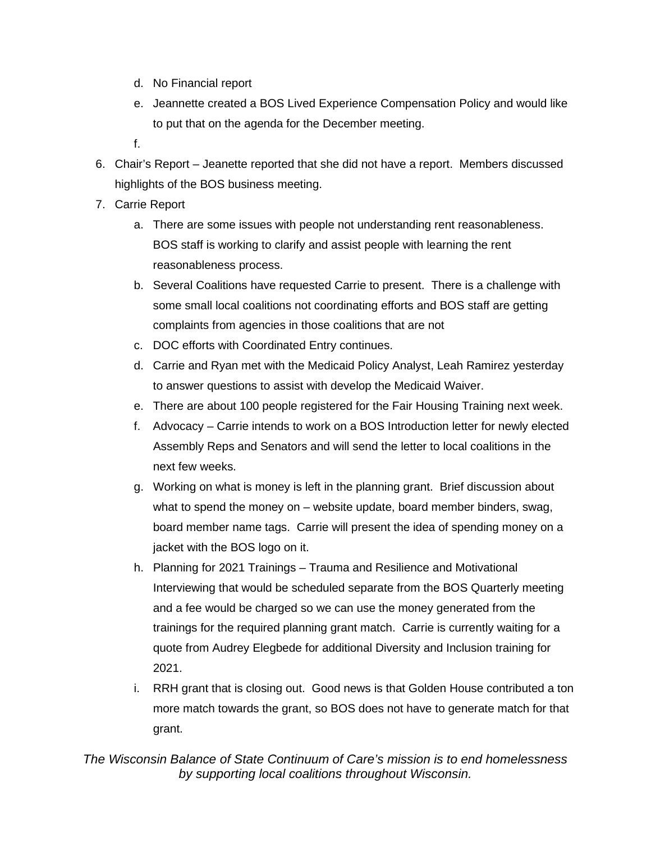- d. No Financial report
- e. Jeannette created a BOS Lived Experience Compensation Policy and would like to put that on the agenda for the December meeting.
- f.
- 6. Chair's Report Jeanette reported that she did not have a report. Members discussed highlights of the BOS business meeting.
- 7. Carrie Report
	- a. There are some issues with people not understanding rent reasonableness. BOS staff is working to clarify and assist people with learning the rent reasonableness process.
	- b. Several Coalitions have requested Carrie to present. There is a challenge with some small local coalitions not coordinating efforts and BOS staff are getting complaints from agencies in those coalitions that are not
	- c. DOC efforts with Coordinated Entry continues.
	- d. Carrie and Ryan met with the Medicaid Policy Analyst, Leah Ramirez yesterday to answer questions to assist with develop the Medicaid Waiver.
	- e. There are about 100 people registered for the Fair Housing Training next week.
	- f. Advocacy Carrie intends to work on a BOS Introduction letter for newly elected Assembly Reps and Senators and will send the letter to local coalitions in the next few weeks.
	- g. Working on what is money is left in the planning grant. Brief discussion about what to spend the money on – website update, board member binders, swag, board member name tags. Carrie will present the idea of spending money on a jacket with the BOS logo on it.
	- h. Planning for 2021 Trainings Trauma and Resilience and Motivational Interviewing that would be scheduled separate from the BOS Quarterly meeting and a fee would be charged so we can use the money generated from the trainings for the required planning grant match. Carrie is currently waiting for a quote from Audrey Elegbede for additional Diversity and Inclusion training for 2021.
	- i. RRH grant that is closing out. Good news is that Golden House contributed a ton more match towards the grant, so BOS does not have to generate match for that grant.

*The Wisconsin Balance of State Continuum of Care's mission is to end homelessness by supporting local coalitions throughout Wisconsin.*